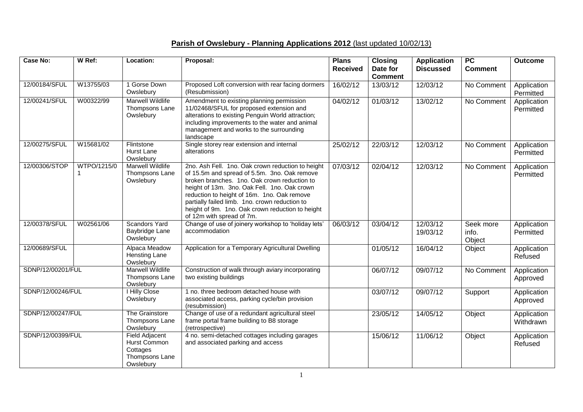## **Parish of Owslebury - Planning Applications 2012** (last updated 10/02/13)

| <b>Case No:</b>   | W Ref:      | Location:                                                                        | Proposal:                                                                                                                                                                                                                                                                                                                                                                           | <b>Plans</b><br><b>Received</b> | <b>Closing</b><br>Date for | <b>Application</b><br><b>Discussed</b> | PC<br><b>Comment</b>         | <b>Outcome</b>           |
|-------------------|-------------|----------------------------------------------------------------------------------|-------------------------------------------------------------------------------------------------------------------------------------------------------------------------------------------------------------------------------------------------------------------------------------------------------------------------------------------------------------------------------------|---------------------------------|----------------------------|----------------------------------------|------------------------------|--------------------------|
|                   |             |                                                                                  |                                                                                                                                                                                                                                                                                                                                                                                     |                                 | <b>Comment</b>             |                                        |                              |                          |
| 12/00184/SFUL     | W13755/03   | 1 Gorse Down<br>Owslebury                                                        | Proposed Loft conversion with rear facing dormers<br>(Resubmission)                                                                                                                                                                                                                                                                                                                 | 16/02/12                        | 13/03/12                   | $\frac{12}{03/12}$                     | No Comment                   | Application<br>Permitted |
| 12/00241/SFUL     | W00322/99   | <b>Marwell Wildlife</b><br>Thompsons Lane<br>Owslebury                           | Amendment to existing planning permission<br>11/02468/SFUL for proposed extension and<br>alterations to existing Penguin World attraction;<br>including improvements to the water and animal<br>management and works to the surrounding<br>landscape                                                                                                                                | 04/02/12                        | 01/03/12                   | 13/02/12                               | No Comment                   | Application<br>Permitted |
| 12/00275/SFUL     | W15681/02   | Flintstone<br>Hurst Lane<br>Owslebury                                            | Single storey rear extension and internal<br>alterations                                                                                                                                                                                                                                                                                                                            | 25/02/12                        | 22/03/12                   | 12/03/12                               | No Comment                   | Application<br>Permitted |
| 12/00306/STOP     | WTPO/1215/0 | <b>Marwell Wildlife</b><br>Thompsons Lane<br>Owslebury                           | 2no. Ash Fell. 1no. Oak crown reduction to height<br>of 15.5m and spread of 5.5m. 3no. Oak remove<br>broken branches. 1no. Oak crown reduction to<br>height of 13m. 3no. Oak Fell. 1no. Oak crown<br>reduction to height of 16m. 1no. Oak remove<br>partially failed limb. 1no. crown reduction to<br>height of 9m. 1no. Oak crown reduction to height<br>of 12m with spread of 7m. | 07/03/12                        | 02/04/12                   | 12/03/12                               | No Comment                   | Application<br>Permitted |
| 12/00378/SFUL     | W02561/06   | <b>Scandors Yard</b><br>Baybridge Lane<br>Owslebury                              | Change of use of joinery workshop to 'holiday lets'<br>accommodation                                                                                                                                                                                                                                                                                                                | 06/03/12                        | 03/04/12                   | 12/03/12<br>19/03/12                   | Seek more<br>info.<br>Object | Application<br>Permitted |
| 12/00689/SFUL     |             | Alpaca Meadow<br>Hensting Lane<br>Owslebury                                      | Application for a Temporary Agricultural Dwelling                                                                                                                                                                                                                                                                                                                                   |                                 | 01/05/12                   | 16/04/12                               | Object                       | Application<br>Refused   |
| SDNP/12/00201/FUL |             | <b>Marwell Wildlife</b><br>Thompsons Lane<br>Owslebury                           | Construction of walk through aviary incorporating<br>two existing buildings                                                                                                                                                                                                                                                                                                         |                                 | 06/07/12                   | 09/07/12                               | No Comment                   | Application<br>Approved  |
| SDNP/12/00246/FUL |             | I Hilly Close<br>Owslebury                                                       | 1 no. three bedroom detached house with<br>associated access, parking cycle/bin provision<br>(resubmission)                                                                                                                                                                                                                                                                         |                                 | 03/07/12                   | 09/07/12                               | Support                      | Application<br>Approved  |
| SDNP/12/00247/FUL |             | The Grainstore<br>Thompsons Lane<br>Owslebury                                    | Change of use of a redundant agricultural steel<br>frame portal frame building to B8 storage<br>(retrospective)                                                                                                                                                                                                                                                                     |                                 | 23/05/12                   | 14/05/12                               | Object                       | Application<br>Withdrawn |
| SDNP/12/00399/FUL |             | <b>Field Adjacent</b><br>Hurst Common<br>Cottages<br>Thompsons Lane<br>Owslebury | 4 no. semi-detached cottages including garages<br>and associated parking and access                                                                                                                                                                                                                                                                                                 |                                 | 15/06/12                   | 11/06/12                               | Object                       | Application<br>Refused   |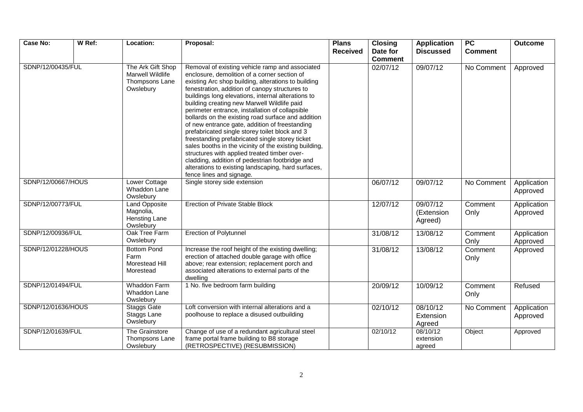| Case No:           | W Ref: | Location:                                                            | Proposal:                                                                                                                                                                                                                                                                                                                                                                                                                                                                                                                                                                                                                                                                                                                                                                                                                     | <b>Plans</b><br><b>Received</b> | <b>Closing</b><br>Date for<br><b>Comment</b> | <b>Application</b><br><b>Discussed</b> | PC<br><b>Comment</b> | <b>Outcome</b>          |
|--------------------|--------|----------------------------------------------------------------------|-------------------------------------------------------------------------------------------------------------------------------------------------------------------------------------------------------------------------------------------------------------------------------------------------------------------------------------------------------------------------------------------------------------------------------------------------------------------------------------------------------------------------------------------------------------------------------------------------------------------------------------------------------------------------------------------------------------------------------------------------------------------------------------------------------------------------------|---------------------------------|----------------------------------------------|----------------------------------------|----------------------|-------------------------|
| SDNP/12/00435/FUL  |        | The Ark Gift Shop<br>Marwell Wildlife<br>Thompsons Lane<br>Owslebury | Removal of existing vehicle ramp and associated<br>enclosure, demolition of a corner section of<br>existing Arc shop building, alterations to building<br>fenestration, addition of canopy structures to<br>buildings long elevations, internal alterations to<br>building creating new Marwell Wildlife paid<br>perimeter entrance, installation of collapsible<br>bollards on the existing road surface and addition<br>of new entrance gate, addition of freestanding<br>prefabricated single storey toilet block and 3<br>freestanding prefabricated single storey ticket<br>sales booths in the vicinity of the existing building,<br>structures with applied treated timber over-<br>cladding, addition of pedestrian footbridge and<br>alterations to existing landscaping, hard surfaces,<br>fence lines and signage. |                                 | 02/07/12                                     | 09/07/12                               | No Comment           | Approved                |
| SDNP/12/00667/HOUS |        | Lower Cottage<br>Whaddon Lane<br>Owslebury                           | Single storey side extension                                                                                                                                                                                                                                                                                                                                                                                                                                                                                                                                                                                                                                                                                                                                                                                                  |                                 | 06/07/12                                     | 09/07/12                               | No Comment           | Application<br>Approved |
| SDNP/12/00773/FUL  |        | <b>Land Opposite</b><br>Magnolia,<br>Hensting Lane<br>Owslebury      | <b>Erection of Private Stable Block</b>                                                                                                                                                                                                                                                                                                                                                                                                                                                                                                                                                                                                                                                                                                                                                                                       |                                 | 12/07/12                                     | 09/07/12<br>(Extension<br>Agreed)      | Comment<br>Only      | Application<br>Approved |
| SDNP/12/00936/FUL  |        | Oak Tree Farm<br>Owslebury                                           | <b>Erection of Polytunnel</b>                                                                                                                                                                                                                                                                                                                                                                                                                                                                                                                                                                                                                                                                                                                                                                                                 |                                 | 31/08/12                                     | 13/08/12                               | Comment<br>Only      | Application<br>Approved |
| SDNP/12/01228/HOUS |        | <b>Bottom Pond</b><br>Farm<br>Morestead Hill<br>Morestead            | Increase the roof height of the existing dwelling;<br>erection of attached double garage with office<br>above; rear extension; replacement porch and<br>associated alterations to external parts of the<br>dwelling                                                                                                                                                                                                                                                                                                                                                                                                                                                                                                                                                                                                           |                                 | 31/08/12                                     | 13/08/12                               | Comment<br>Only      | Approved                |
| SDNP/12/01494/FUL  |        | Whaddon Farm<br>Whaddon Lane<br>Owslebury                            | 1 No. five bedroom farm building                                                                                                                                                                                                                                                                                                                                                                                                                                                                                                                                                                                                                                                                                                                                                                                              |                                 | 20/09/12                                     | 10/09/12                               | Comment<br>Only      | Refused                 |
| SDNP/12/01636/HOUS |        | <b>Staggs Gate</b><br>Staggs Lane<br>Owslebury                       | Loft conversion with internal alterations and a<br>poolhouse to replace a disused outbuilding                                                                                                                                                                                                                                                                                                                                                                                                                                                                                                                                                                                                                                                                                                                                 |                                 | 02/10/12                                     | 08/10/12<br>Extension<br>Agreed        | No Comment           | Application<br>Approved |
| SDNP/12/01639/FUL  |        | The Grainstore<br>Thompsons Lane<br>Owslebury                        | Change of use of a redundant agricultural steel<br>frame portal frame building to B8 storage<br>(RETROSPECTIVE) (RESUBMISSION)                                                                                                                                                                                                                                                                                                                                                                                                                                                                                                                                                                                                                                                                                                |                                 | 02/10/12                                     | 08/10/12<br>extension<br>agreed        | Object               | Approved                |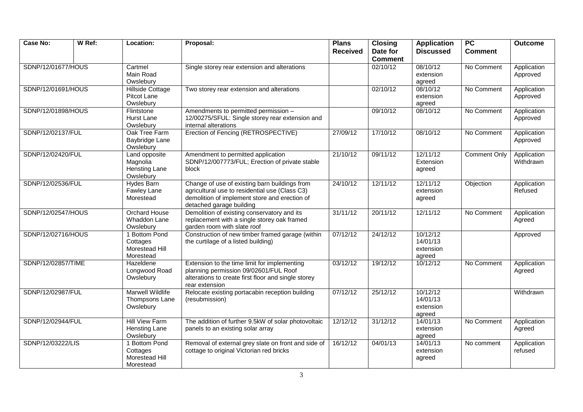| <b>Case No:</b>    | W Ref: | Location:                                                  | Proposal:                                                                                                                                                                    | <b>Plans</b><br><b>Received</b> | <b>Closing</b><br>Date for | <b>Application</b><br><b>Discussed</b>      | PC<br><b>Comment</b> | <b>Outcome</b>           |
|--------------------|--------|------------------------------------------------------------|------------------------------------------------------------------------------------------------------------------------------------------------------------------------------|---------------------------------|----------------------------|---------------------------------------------|----------------------|--------------------------|
|                    |        |                                                            |                                                                                                                                                                              |                                 | <b>Comment</b>             |                                             |                      |                          |
| SDNP/12/01677/HOUS |        | Cartmel<br>Main Road<br>Owslebury                          | Single storey rear extension and alterations                                                                                                                                 |                                 | 02/10/12                   | 08/10/12<br>extension<br>agreed             | No Comment           | Application<br>Approved  |
| SDNP/12/01691/HOUS |        | Hillside Cottage<br>Pitcot Lane<br>Owslebury               | Two storey rear extension and alterations                                                                                                                                    |                                 | 02/10/12                   | 08/10/12<br>extension<br>agreed             | No Comment           | Application<br>Approved  |
| SDNP/12/01898/HOUS |        | Flintstone<br>Hurst Lane<br>Owslebury                      | Amendments to permitted permission -<br>12/00275/SFUL: Single storey rear extension and<br>internal alterations                                                              |                                 | 09/10/12                   | 08/10/12                                    | No Comment           | Application<br>Approved  |
| SDNP/12/02137/FUL  |        | Oak Tree Farm<br>Baybridge Lane<br>Owslebury               | Erection of Fencing (RETROSPECTIVE)                                                                                                                                          | 27/09/12                        | 17/10/12                   | 08/10/12                                    | No Comment           | Application<br>Approved  |
| SDNP/12/02420/FUL  |        | Land opposite<br>Magnolia<br>Hensting Lane<br>Owslebury    | Amendment to permitted application<br>SDNP/12/007773/FUL; Erection of private stable<br>block                                                                                | 21/10/12                        | 09/11/12                   | 12/11/12<br>Extension<br>agreed             | <b>Comment Only</b>  | Application<br>Withdrawn |
| SDNP/12/02536/FUL  |        | <b>Hydes Barn</b><br>Fawley Lane<br>Morestead              | Change of use of existing barn buildings from<br>agricultural use to residential use (Class C3)<br>demolition of implement store and erection of<br>detached garage building | 24/10/12                        | 12/11/12                   | 12/11/12<br>extension<br>agreed             | Objection            | Application<br>Refused   |
| SDNP/12/02547/HOUS |        | <b>Orchard House</b><br>Whaddon Lane<br>Owslebury          | Demolition of existing conservatory and its<br>replacement with a single storey oak framed<br>garden room with slate roof                                                    | 31/11/12                        | 20/11/12                   | 12/11/12                                    | No Comment           | Application<br>Agreed    |
| SDNP/12/02716/HOUS |        | 1 Bottom Pond<br>Cottages<br>Morestead Hill<br>Morestead   | Construction of new timber framed garage (within<br>the curtilage of a listed building)                                                                                      | 07/12/12                        | 24/12/12                   | 10/12/12<br>14/01/13<br>extension<br>agreed |                      | Approved                 |
| SDNP/12/02857/TIME |        | Hazeldene<br>Longwood Road<br>Owslebury                    | Extension to the time limit for implementing<br>planning permission 09/02601/FUL Roof<br>alterations to create first floor and single storey<br>rear extension               | 03/12/12                        | 19/12/12                   | 10/12/12                                    | No Comment           | Application<br>Agreed    |
| SDNP/12/02987/FUL  |        | <b>Marwell Wildlife</b><br>Thompsons Lane<br>Owslebury     | Relocate existing portacabin reception building<br>(resubmission)                                                                                                            | 07/12/12                        | 25/12/12                   | 10/12/12<br>14/01/13<br>extension<br>agreed |                      | Withdrawn                |
| SDNP/12/02944/FUL  |        | <b>Hill View Farm</b><br><b>Hensting Lane</b><br>Owslebury | The addition of further 9.5kW of solar photovoltaic<br>panels to an existing solar array                                                                                     | 12/12/12                        | 31/12/12                   | 14/01/13<br>extension<br>agreed             | No Comment           | Application<br>Agreed    |
| SDNP/12/03222/LIS  |        | 1 Bottom Pond<br>Cottages<br>Morestead Hill<br>Morestead   | Removal of external grey slate on front and side of<br>cottage to original Victorian red bricks                                                                              | 16/12/12                        | 04/01/13                   | 14/01/13<br>extension<br>agreed             | No comment           | Application<br>refused   |